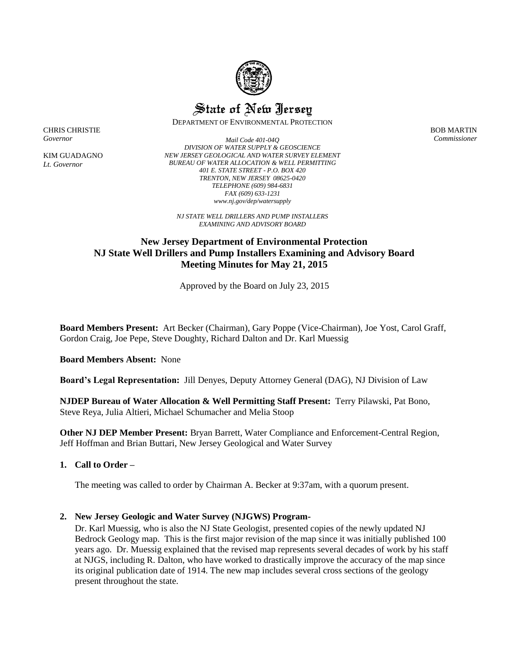

State of New Jersey

DEPARTMENT OF ENVIRONMENTAL PROTECTION

BOB MARTIN *Commissioner*

CHRIS CHRISTIE *Governor*

KIM GUADAGNO *Lt. Governor*

*Mail Code 401-04Q DIVISION OF WATER SUPPLY & GEOSCIENCE NEW JERSEY GEOLOGICAL AND WATER SURVEY ELEMENT BUREAU OF WATER ALLOCATION & WELL PERMITTING 401 E. STATE STREET - P.O. BOX 420 TRENTON, NEW JERSEY 08625-0420 TELEPHONE (609) 984-6831 FAX (609) 633-1231 www.nj.gov/dep/watersupply*

*NJ STATE WELL DRILLERS AND PUMP INSTALLERS EXAMINING AND ADVISORY BOARD*

# **New Jersey Department of Environmental Protection NJ State Well Drillers and Pump Installers Examining and Advisory Board Meeting Minutes for May 21, 2015**

Approved by the Board on July 23, 2015

**Board Members Present:** Art Becker (Chairman), Gary Poppe (Vice-Chairman), Joe Yost, Carol Graff, Gordon Craig, Joe Pepe, Steve Doughty, Richard Dalton and Dr. Karl Muessig

**Board Members Absent:** None

**Board's Legal Representation:** Jill Denyes, Deputy Attorney General (DAG), NJ Division of Law

**NJDEP Bureau of Water Allocation & Well Permitting Staff Present:** Terry Pilawski, Pat Bono, Steve Reya, Julia Altieri, Michael Schumacher and Melia Stoop

**Other NJ DEP Member Present:** Bryan Barrett, Water Compliance and Enforcement-Central Region, Jeff Hoffman and Brian Buttari, New Jersey Geological and Water Survey

## **1. Call to Order –**

The meeting was called to order by Chairman A. Becker at 9:37am, with a quorum present.

## **2. New Jersey Geologic and Water Survey (NJGWS) Program-**

Dr. Karl Muessig, who is also the NJ State Geologist, presented copies of the newly updated NJ Bedrock Geology map. This is the first major revision of the map since it was initially published 100 years ago. Dr. Muessig explained that the revised map represents several decades of work by his staff at NJGS, including R. Dalton, who have worked to drastically improve the accuracy of the map since its original publication date of 1914. The new map includes several cross sections of the geology present throughout the state.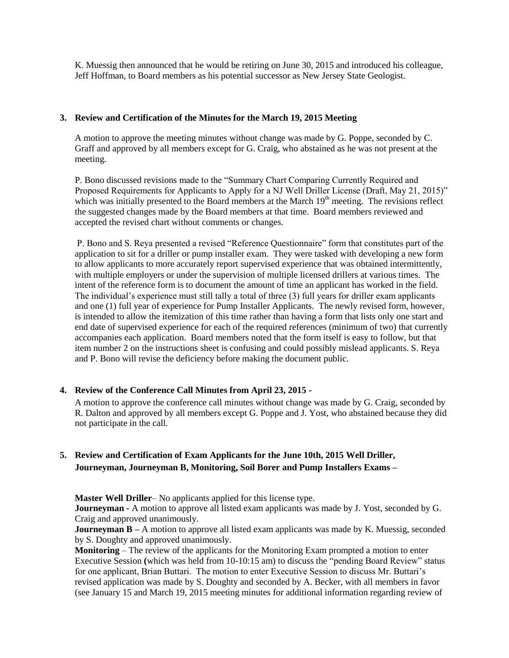K. Muessig then announced that he would be retiring on June 30, 2015 and introduced his colleague, Jeff Hoffman, to Board members as his potential successor as New Jersey State Geologist.

### **3. Review and Certification of the Minutes for the March 19, 2015 Meeting**

A motion to approve the meeting minutes without change was made by G. Poppe, seconded by C. Graff and approved by all members except for G. Craig, who abstained as he was not present at the meeting.

P. Bono discussed revisions made to the "Summary Chart Comparing Currently Required and Proposed Requirements for Applicants to Apply for a NJ Well Driller License (Draft, May 21, 2015)" which was initially presented to the Board members at the March 19<sup>th</sup> meeting. The revisions reflect the suggested changes made by the Board members at that time. Board members reviewed and accepted the revised chart without comments or changes.

P. Bono and S. Reya presented a revised "Reference Questionnaire" form that constitutes part of the application to sit for a driller or pump installer exam. They were tasked with developing a new form to allow applicants to more accurately report supervised experience that was obtained intermittently, with multiple employers or under the supervision of multiple licensed drillers at various times. The intent of the reference form is to document the amount of time an applicant has worked in the field. The individual's experience must still tally a total of three (3) full years for driller exam applicants and one (1) full year of experience for Pump Installer Applicants. The newly revised form, however, is intended to allow the itemization of this time rather than having a form that lists only one start and end date of supervised experience for each of the required references (minimum of two) that currently accompanies each application. Board members noted that the form itself is easy to follow, but that item number 2 on the instructions sheet is confusing and could possibly mislead applicants. S. Reya and P. Bono will revise the deficiency before making the document public.

## **4. Review of the Conference Call Minutes from April 23, 2015 -**

A motion to approve the conference call minutes without change was made by G. Craig, seconded by R. Dalton and approved by all members except G. Poppe and J. Yost, who abstained because they did not participate in the call.

# **5. Review and Certification of Exam Applicants for the June 10th, 2015 Well Driller, Journeyman, Journeyman B, Monitoring, Soil Borer and Pump Installers Exams –**

**Master Well Driller**– No applicants applied for this license type.

**Journeyman -** A motion to approve all listed exam applicants was made by J. Yost, seconded by G. Craig and approved unanimously.

**Journeyman B** – A motion to approve all listed exam applicants was made by K. Muessig, seconded by S. Doughty and approved unanimously.

**Monitoring** – The review of the applicants for the Monitoring Exam prompted a motion to enter Executive Session **(**which was held from 10-10:15 am) to discuss the "pending Board Review" status for one applicant, Brian Buttari. The motion to enter Executive Session to discuss Mr. Buttari's revised application was made by S. Doughty and seconded by A. Becker, with all members in favor (see January 15 and March 19, 2015 meeting minutes for additional information regarding review of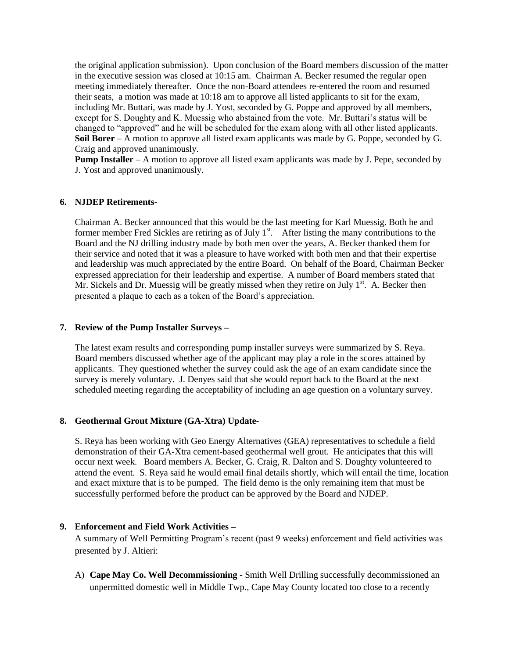the original application submission). Upon conclusion of the Board members discussion of the matter in the executive session was closed at 10:15 am. Chairman A. Becker resumed the regular open meeting immediately thereafter. Once the non-Board attendees re-entered the room and resumed their seats, a motion was made at 10:18 am to approve all listed applicants to sit for the exam, including Mr. Buttari, was made by J. Yost, seconded by G. Poppe and approved by all members, except for S. Doughty and K. Muessig who abstained from the vote. Mr. Buttari's status will be changed to "approved" and he will be scheduled for the exam along with all other listed applicants. **Soil Borer** – A motion to approve all listed exam applicants was made by G. Poppe, seconded by G. Craig and approved unanimously.

**Pump Installer** – A motion to approve all listed exam applicants was made by J. Pepe, seconded by J. Yost and approved unanimously.

#### **6. NJDEP Retirements-**

Chairman A. Becker announced that this would be the last meeting for Karl Muessig. Both he and former member Fred Sickles are retiring as of July  $1<sup>st</sup>$ . After listing the many contributions to the Board and the NJ drilling industry made by both men over the years, A. Becker thanked them for their service and noted that it was a pleasure to have worked with both men and that their expertise and leadership was much appreciated by the entire Board. On behalf of the Board, Chairman Becker expressed appreciation for their leadership and expertise. A number of Board members stated that Mr. Sickels and Dr. Muessig will be greatly missed when they retire on July  $1<sup>st</sup>$ . A. Becker then presented a plaque to each as a token of the Board's appreciation.

#### **7. Review of the Pump Installer Surveys –**

The latest exam results and corresponding pump installer surveys were summarized by S. Reya. Board members discussed whether age of the applicant may play a role in the scores attained by applicants. They questioned whether the survey could ask the age of an exam candidate since the survey is merely voluntary. J. Denyes said that she would report back to the Board at the next scheduled meeting regarding the acceptability of including an age question on a voluntary survey.

## **8. Geothermal Grout Mixture (GA-Xtra) Update-**

S. Reya has been working with Geo Energy Alternatives (GEA) representatives to schedule a field demonstration of their GA-Xtra cement-based geothermal well grout. He anticipates that this will occur next week. Board members A. Becker, G. Craig, R. Dalton and S. Doughty volunteered to attend the event. S. Reya said he would email final details shortly, which will entail the time, location and exact mixture that is to be pumped. The field demo is the only remaining item that must be successfully performed before the product can be approved by the Board and NJDEP.

## **9. Enforcement and Field Work Activities –**

A summary of Well Permitting Program's recent (past 9 weeks) enforcement and field activities was presented by J. Altieri:

A) **Cape May Co. Well Decommissioning -** Smith Well Drilling successfully decommissioned an unpermitted domestic well in Middle Twp., Cape May County located too close to a recently